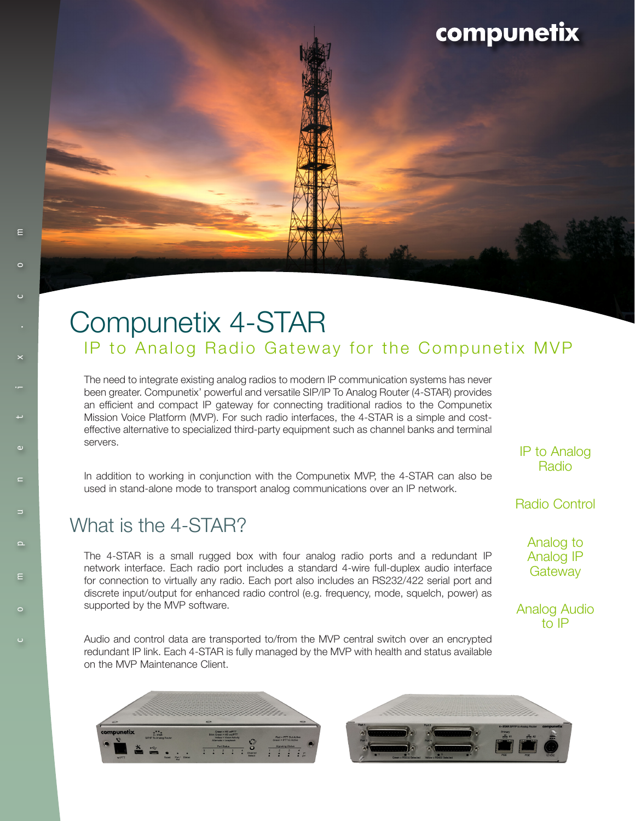

# Compunetix 4-STAR IP to Analog Radio Gateway for the Compunetix MVP

The need to integrate existing analog radios to modern IP communication systems has never been greater. Compunetix' powerful and versatile SIP/IP To Analog Router (4-STAR) provides an efficient and compact IP gateway for connecting traditional radios to the Compunetix Mission Voice Platform (MVP). For such radio interfaces, the 4-STAR is a simple and costeffective alternative to specialized third-party equipment such as channel banks and terminal servers.

In addition to working in conjunction with the Compunetix MVP, the 4-STAR can also be used in stand-alone mode to transport analog communications over an IP network.

### What is the 4-STAR?

Ε

The 4-STAR is a small rugged box with four analog radio ports and a redundant IP network interface. Each radio port includes a standard 4-wire full-duplex audio interface for connection to virtually any radio. Each port also includes an RS232/422 serial port and discrete input/output for enhanced radio control (e.g. frequency, mode, squelch, power) as supported by the MVP software.

Audio and control data are transported to/from the MVP central switch over an encrypted redundant IP link. Each 4-STAR is fully managed by the MVP with health and status available on the MVP Maintenance Client.

IP to Analog Radio

### Radio Control

Analog to Analog IP **Gateway** 

Analog Audio to IP